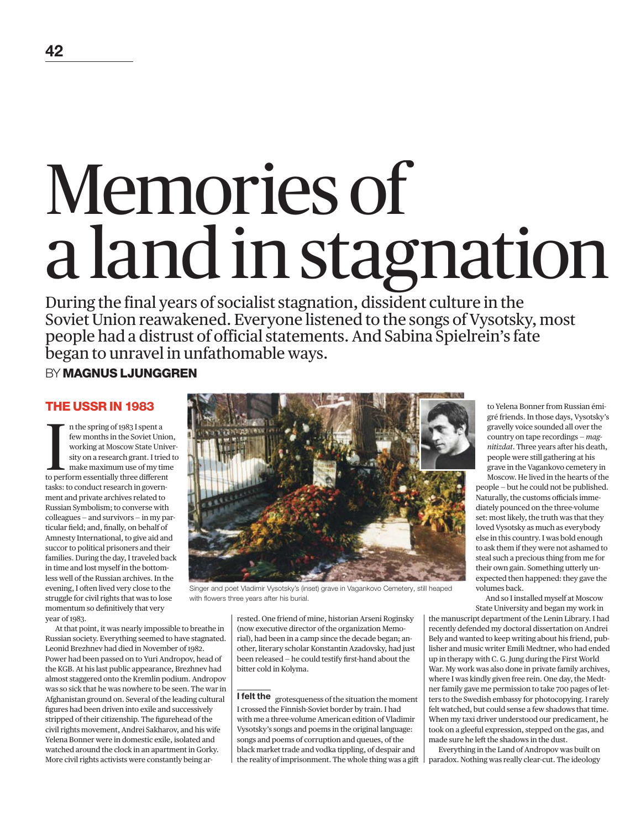# Memories of a land in stagnation

During the final years of socialist stagnation, dissident culture in the Soviet Union reawakened. Everyone listened to the songs of Vysotsky, most people had a distrust of official statements. And Sabina Spielrein's fate began to unravel in unfathomable ways.

BY **MAGNUS LJUNGGREN**

In the spring of 1983 I spent a<br>few months in the Soviet Union<br>working at Moscow State University on a research grant. I tried<br>make maximum use of my tim<br>to perform essentially three different n the spring of 1983 I spent a few months in the Soviet Union, working at Moscow State University on a research grant. I tried to make maximum use of my time tasks: to conduct research in government and private archives related to Russian Symbolism; to converse with colleagues — and survivors — in my particular field; and, finally, on behalf of Amnesty International, to give aid and succor to political prisoners and their families. During the day, I traveled back in time and lost myself in the bottomless well of the Russian archives. In the evening, I often lived very close to the struggle for civil rights that was to lose momentum so definitively that very year of 1983.

At that point, it was nearly impossible to breathe in Russian society. Everything seemed to have stagnated. Leonid Brezhnev had died in November of 1982. Power had been passed on to Yuri Andropov, head of the KGB. At his last public appearance, Brezhnev had almost staggered onto the Kremlin podium. Andropov was so sick that he was nowhere to be seen. The war in Afghanistan ground on. Several of the leading cultural figures had been driven into exile and successively stripped of their citizenship. The figurehead of the civil rights movement, Andrei Sakharov, and his wife Yelena Bonner were in domestic exile, isolated and watched around the clock in an apartment in Gorky. More civil rights activists were constantly being ar-



Singer and poet Vladimir Vysotsky's (inset) grave in Vagankovo Cemetery, still heaped with flowers three years after his burial.

rested. One friend of mine, historian Arseni Roginsky (now executive director of the organization Memorial), had been in a camp since the decade began; another, literary scholar Konstantin Azadovsky, had just been released — he could testify first-hand about the bitter cold in Kolyma.

**I felt the** grotesqueness of the situation the moment I crossed the Finnish-Soviet border by train. I had with me a three-volume American edition of Vladimir Vysotsky's songs and poems in the original language: songs and poems of corruption and queues, of the black market trade and vodka tippling, of despair and the reality of imprisonment. The whole thing was a gift  $\vert$  gré friends. In those days, Vysotsky's gravelly voice sounded all over the country on tape recordings — *magnitizdat*. Three years after his death, people were still gathering at his grave in the Vagankovo cemetery in Moscow. He lived in the hearts of the

people — but he could not be published. Naturally, the customs officials immediately pounced on the three-volume set: most likely, the truth was that they loved Vysotsky as much as everybody else in this country. I was bold enough to ask them if they were not ashamed to steal such a precious thing from me for their own gain. Something utterly unexpected then happened: they gave the volumes back.

And so I installed myself at Moscow State University and began my work in

the manuscript department of the Lenin Library. I had recently defended my doctoral dissertation on Andrei Bely and wanted to keep writing about his friend, publisher and music writer Emili Medtner, who had ended up in therapy with C. G. Jung during the First World War. My work was also done in private family archives, where I was kindly given free rein. One day, the Medtner family gave me permission to take 700 pages of letters to the Swedish embassy for photocopying. I rarely felt watched, but could sense a few shadows that time. When my taxi driver understood our predicament, he took on a gleeful expression, stepped on the gas, and made sure he left the shadows in the dust.

Everything in the Land of Andropov was built on paradox. Nothing was really clear-cut. The ideology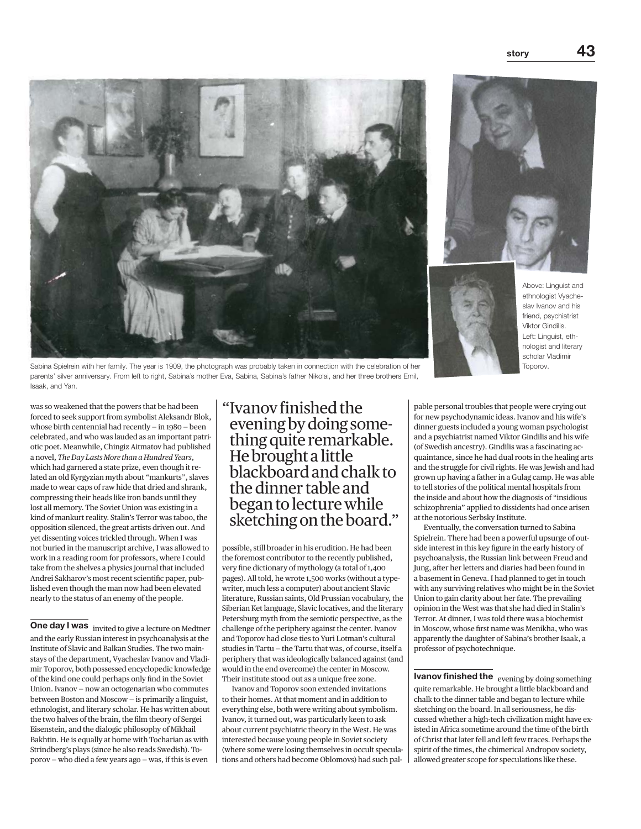





Above: Linguist and ethnologist Vyacheslav Ivanov and his friend, psychiatrist Viktor Gindilis. Left: Linguist, ethnologist and literary scholar Vladimir Toporov.

Sabina Spielrein with her family. The year is 1909, the photograph was probably taken in connection with the celebration of her parents' silver anniversary. From left to right, Sabina's mother Eva, Sabina, Sabina's father Nikolai, and her three brothers Emil, Isaak, and Yan.

was so weakened that the powers that be had been forced to seek support from symbolist Aleksandr Blok, whose birth centennial had recently  $-$  in 1980 – been celebrated, and who was lauded as an important patriotic poet. Meanwhile, Chingiz Aitmatov had published a novel, *The Day Lasts More than a Hundred Years*, which had garnered a state prize, even though it related an old Kyrgyzian myth about "mankurts", slaves made to wear caps of raw hide that dried and shrank, compressing their heads like iron bands until they lost all memory. The Soviet Union was existing in a kind of mankurt reality. Stalin's Terror was taboo, the opposition silenced, the great artists driven out. And yet dissenting voices trickled through. When I was not buried in the manuscript archive, I was allowed to work in a reading room for professors, where I could take from the shelves a physics journal that included Andrei Sakharov's most recent scientific paper, published even though the man now had been elevated nearly to the status of an enemy of the people.

One day I was invited to give a lecture on Medtner and the early Russian interest in psychoanalysis at the Institute of Slavic and Balkan Studies. The two mainstays of the department, Vyacheslav Ivanov and Vladimir Toporov, both possessed encyclopedic knowledge of the kind one could perhaps only find in the Soviet Union. Ivanov — now an octogenarian who commutes between Boston and Moscow — is primarily a linguist, ethnologist, and literary scholar. He has written about the two halves of the brain, the film theory of Sergei Eisenstein, and the dialogic philosophy of Mikhail Bakhtin. He is equally at home with Tocharian as with Strindberg's plays (since he also reads Swedish). Toporov — who died a few years ago — was, if this is even

" Ivanov finished the evening by doing something quite remarkable. He brought a little blackboard and chalk to the dinner table and began to lecture while sketching on the board."

possible, still broader in his erudition. He had been the foremost contributor to the recently published, very fine dictionary of mythology (a total of 1,400 pages). All told, he wrote 1,500 works (without a typewriter, much less a computer) about ancient Slavic literature, Russian saints, Old Prussian vocabulary, the Siberian Ket language, Slavic locatives, and the literary Petersburg myth from the semiotic perspective, as the challenge of the periphery against the center. Ivanov and Toporov had close ties to Yuri Lotman's cultural studies in Tartu — the Tartu that was, of course, itself a periphery that was ideologically balanced against (and would in the end overcome) the center in Moscow. Their institute stood out as a unique free zone.

Ivanov and Toporov soon extended invitations to their homes. At that moment and in addition to everything else, both were writing about symbolism. Ivanov, it turned out, was particularly keen to ask about current psychiatric theory in the West. He was interested because young people in Soviet society (where some were losing themselves in occult speculations and others had become Oblomovs) had such pal-

pable personal troubles that people were crying out for new psychodynamic ideas. Ivanov and his wife's dinner guests included a young woman psychologist and a psychiatrist named Viktor Gindilis and his wife (of Swedish ancestry). Gindilis was a fascinating acquaintance, since he had dual roots in the healing arts and the struggle for civil rights. He was Jewish and had grown up having a father in a Gulag camp. He was able to tell stories of the political mental hospitals from the inside and about how the diagnosis of "insidious schizophrenia" applied to dissidents had once arisen at the notorious Serbsky Institute.

Eventually, the conversation turned to Sabina Spielrein. There had been a powerful upsurge of outside interest in this key figure in the early history of psychoanalysis, the Russian link between Freud and Jung, after her letters and diaries had been found in a basement in Geneva. I had planned to get in touch with any surviving relatives who might be in the Soviet Union to gain clarity about her fate. The prevailing opinion in the West was that she had died in Stalin's Terror. At dinner, I was told there was a biochemist in Moscow, whose first name was Menikha, who was apparently the daughter of Sabina's brother Isaak, a professor of psychotechnique.

Ivanov finished the evening by doing something quite remarkable. He brought a little blackboard and chalk to the dinner table and began to lecture while sketching on the board. In all seriousness, he discussed whether a high-tech civilization might have existed in Africa sometime around the time of the birth of Christ that later fell and left few traces. Perhaps the spirit of the times, the chimerical Andropov society, allowed greater scope for speculations like these.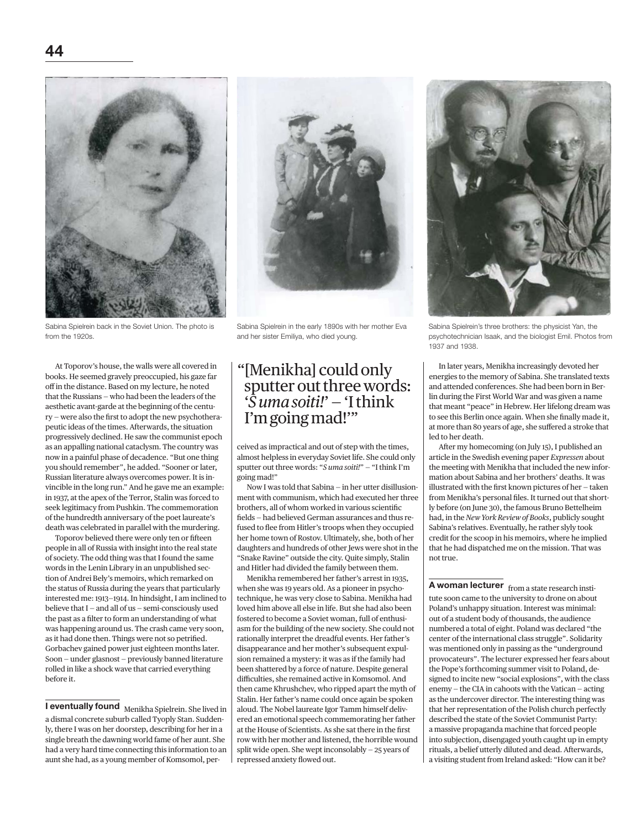

Sabina Spielrein back in the Soviet Union. The photo is from the 1920s.

At Toporov's house, the walls were all covered in books. He seemed gravely preoccupied, his gaze far off in the distance. Based on my lecture, he noted that the Russians — who had been the leaders of the aesthetic avant-garde at the beginning of the century — were also the first to adopt the new psychotherapeutic ideas of the times. Afterwards, the situation progressively declined. He saw the communist epoch as an appalling national cataclysm. The country was now in a painful phase of decadence. "But one thing you should remember", he added. "Sooner or later, Russian literature always overcomes power. It is invincible in the long run." And he gave me an example: in 1937, at the apex of the Terror, Stalin was forced to seek legitimacy from Pushkin. The commemoration of the hundredth anniversary of the poet laureate's death was celebrated in parallel with the murdering.

Toporov believed there were only ten or fifteen people in all of Russia with insight into the real state of society. The odd thing was that I found the same words in the Lenin Library in an unpublished section of Andrei Bely's memoirs, which remarked on the status of Russia during the years that particularly interested me: 1913—1914. In hindsight, I am inclined to believe that I — and all of us — semi-consciously used the past as a filter to form an understanding of what was happening around us. The crash came very soon, as it had done then. Things were not so petrified. Gorbachev gained power just eighteen months later. Soon — under glasnost — previously banned literature rolled in like a shock wave that carried everything before it.

**I eventually found** Menikha Spielrein. She lived in a dismal concrete suburb called Tyoply Stan. Suddenly, there I was on her doorstep, describing for her in a single breath the dawning world fame of her aunt. She had a very hard time connecting this information to an aunt she had, as a young member of Komsomol, per-

Sabina Spielrein in the early 1890s with her mother Eva and her sister Emiliya, who died young.

# " [Menikha] could only sputter out three words: '*S uma soiti!*' — 'I think I'm going mad!'"

ceived as impractical and out of step with the times, almost helpless in everyday Soviet life. She could only sputter out three words: "*S uma soiti!*" — "I think I'm going mad!"

Now I was told that Sabina — in her utter disillusionment with communism, which had executed her three brothers, all of whom worked in various scientific fields — had believed German assurances and thus refused to flee from Hitler's troops when they occupied her home town of Rostov. Ultimately, she, both of her daughters and hundreds of other Jews were shot in the "Snake Ravine" outside the city. Quite simply, Stalin and Hitler had divided the family between them.

Menikha remembered her father's arrest in 1935, when she was 19 years old. As a pioneer in psychotechnique, he was very close to Sabina. Menikha had loved him above all else in life. But she had also been fostered to become a Soviet woman, full of enthusiasm for the building of the new society. She could not rationally interpret the dreadful events. Her father's disappearance and her mother's subsequent expulsion remained a mystery: it was as if the family had been shattered by a force of nature. Despite general difficulties, she remained active in Komsomol. And then came Khrushchev, who ripped apart the myth of Stalin. Her father's name could once again be spoken aloud. The Nobel laureate Igor Tamm himself delivered an emotional speech commemorating her father at the House of Scientists. As she sat there in the first row with her mother and listened, the horrible wound split wide open. She wept inconsolably — 25 years of repressed anxiety flowed out.



Sabina Spielrein's three brothers: the physicist Yan, the psychotechnician Isaak, and the biologist Emil. Photos from 1937 and 1938.

In later years, Menikha increasingly devoted her energies to the memory of Sabina. She translated texts and attended conferences. She had been born in Berlin during the First World War and was given a name that meant "peace" in Hebrew. Her lifelong dream was to see this Berlin once again. When she finally made it, at more than 80 years of age, she suffered a stroke that led to her death.

After my homecoming (on July 15), I published an article in the Swedish evening paper *Expressen* about the meeting with Menikha that included the new information about Sabina and her brothers' deaths. It was illustrated with the first known pictures of her — taken from Menikha's personal files. It turned out that shortly before (on June 30), the famous Bruno Bettelheim had, in the *New York Review of Books*, publicly sought Sabina's relatives. Eventually, he rather slyly took credit for the scoop in his memoirs, where he implied that he had dispatched me on the mission. That was not true.

A woman lecturer from a state research institute soon came to the university to drone on about Poland's unhappy situation. Interest was minimal: out of a student body of thousands, the audience numbered a total of eight. Poland was declared "the center of the international class struggle". Solidarity was mentioned only in passing as the "underground provocateurs". The lecturer expressed her fears about the Pope's forthcoming summer visit to Poland, designed to incite new "social explosions", with the class enemy — the CIA in cahoots with the Vatican — acting as the undercover director. The interesting thing was that her representation of the Polish church perfectly described the state of the Soviet Communist Party: a massive propaganda machine that forced people into subjection, disengaged youth caught up in empty rituals, a belief utterly diluted and dead. Afterwards, a visiting student from Ireland asked: "How can it be?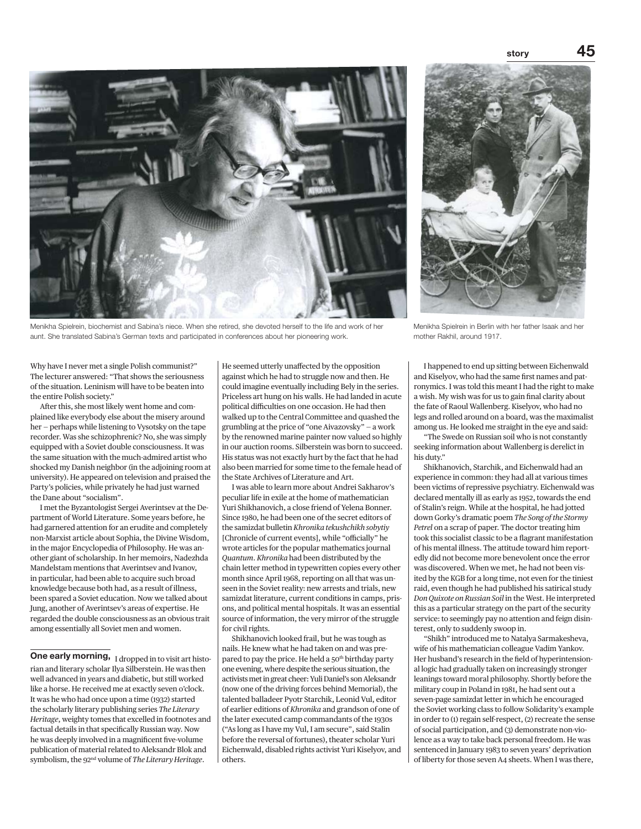story



Menikha Spielrein, biochemist and Sabina's niece. When she retired, she devoted herself to the life and work of her aunt. She translated Sabina's German texts and participated in conferences about her pioneering work.



Menikha Spielrein in Berlin with her father Isaak and her mother Rakhil, around 1917.

Why have I never met a single Polish communist?" The lecturer answered: "That shows the seriousness of the situation. Leninism will have to be beaten into the entire Polish society."

After this, she most likely went home and complained like everybody else about the misery around her — perhaps while listening to Vysotsky on the tape recorder. Was she schizophrenic? No, she was simply equipped with a Soviet double consciousness. It was the same situation with the much-admired artist who shocked my Danish neighbor (in the adjoining room at university). He appeared on television and praised the Party's policies, while privately he had just warned the Dane about "socialism".

I met the Byzantologist Sergei Averintsev at the Department of World Literature. Some years before, he had garnered attention for an erudite and completely non-Marxist article about Sophia, the Divine Wisdom, in the major Encyclopedia of Philosophy. He was another giant of scholarship. In her memoirs, Nadezhda Mandelstam mentions that Averintsev and Ivanov, in particular, had been able to acquire such broad knowledge because both had, as a result of illness, been spared a Soviet education. Now we talked about Jung, another of Averintsev's areas of expertise. He regarded the double consciousness as an obvious trait among essentially all Soviet men and women.

One early morning, I dropped in to visit art historian and literary scholar Ilya Silberstein. He was then well advanced in years and diabetic, but still worked like a horse. He received me at exactly seven o'clock. It was he who had once upon a time (1932) started the scholarly literary publishing series *The Literary Heritage*, weighty tomes that excelled in footnotes and factual details in that specifically Russian way. Now he was deeply involved in a magnificent five-volume publication of material related to Aleksandr Blok and symbolism, the 92nd volume of *The Literary Heritage*.

He seemed utterly unaffected by the opposition against which he had to struggle now and then. He could imagine eventually including Bely in the series. Priceless art hung on his walls. He had landed in acute political difficulties on one occasion. He had then walked up to the Central Committee and quashed the grumbling at the price of "one Aivazovsky" — a work by the renowned marine painter now valued so highly in our auction rooms. Silberstein was born to succeed. His status was not exactly hurt by the fact that he had also been married for some time to the female head of the State Archives of Literature and Art.

I was able to learn more about Andrei Sakharov's peculiar life in exile at the home of mathematician Yuri Shikhanovich, a close friend of Yelena Bonner. Since 1980, he had been one of the secret editors of the samizdat bulletin *Khronika tekushchikh sobytiy*  [Chronicle of current events], while "officially" he wrote articles for the popular mathematics journal *Quantum*. *Khronika* had been distributed by the chain letter method in typewritten copies every other month since April 1968, reporting on all that was unseen in the Soviet reality: new arrests and trials, new samizdat literature, current conditions in camps, prisons, and political mental hospitals. It was an essential source of information, the very mirror of the struggle for civil rights.

Shikhanovich looked frail, but he was tough as nails. He knew what he had taken on and was prepared to pay the price. He held a 50<sup>th</sup> birthday party one evening, where despite the serious situation, the activists met in great cheer: Yuli Daniel's son Aleksandr (now one of the driving forces behind Memorial), the talented balladeer Pyotr Starchik, Leonid Vul, editor of earlier editions of *Khronika* and grandson of one of the later executed camp commandants of the 1930s ("As long as I have my Vul, I am secure", said Stalin before the reversal of fortunes), theater scholar Yuri Eichenwald, disabled rights activist Yuri Kiselyov, and others.

I happened to end up sitting between Eichenwald and Kiselyov, who had the same first names and patronymics. I was told this meant I had the right to make a wish. My wish was for us to gain final clarity about the fate of Raoul Wallenberg. Kiselyov, who had no legs and rolled around on a board, was the maximalist among us. He looked me straight in the eye and said:

"The Swede on Russian soil who is not constantly seeking information about Wallenberg is derelict in his duty."

Shikhanovich, Starchik, and Eichenwald had an experience in common: they had all at various times been victims of repressive psychiatry. Eichenwald was declared mentally ill as early as 1952, towards the end of Stalin's reign. While at the hospital, he had jotted down Gorky's dramatic poem *The Song of the Stormy Petrel* on a scrap of paper. The doctor treating him took this socialist classic to be a flagrant manifestation of his mental illness. The attitude toward him reportedly did not become more benevolent once the error was discovered. When we met, he had not been visited by the KGB for a long time, not even for the tiniest raid, even though he had published his satirical study *Don Quixote on Russian Soil* in the West. He interpreted this as a particular strategy on the part of the security service: to seemingly pay no attention and feign disinterest, only to suddenly swoop in.

"Shikh" introduced me to Natalya Sarmakesheva, wife of his mathematician colleague Vadim Yankov. Her husband's research in the field of hyperintensional logic had gradually taken on increasingly stronger leanings toward moral philosophy. Shortly before the military coup in Poland in 1981, he had sent out a seven-page samizdat letter in which he encouraged the Soviet working class to follow Solidarity's example in order to (1) regain self-respect, (2) recreate the sense of social participation, and (3) demonstrate non-violence as a way to take back personal freedom. He was sentenced in January 1983 to seven years' deprivation of liberty for those seven A4 sheets. When I was there,